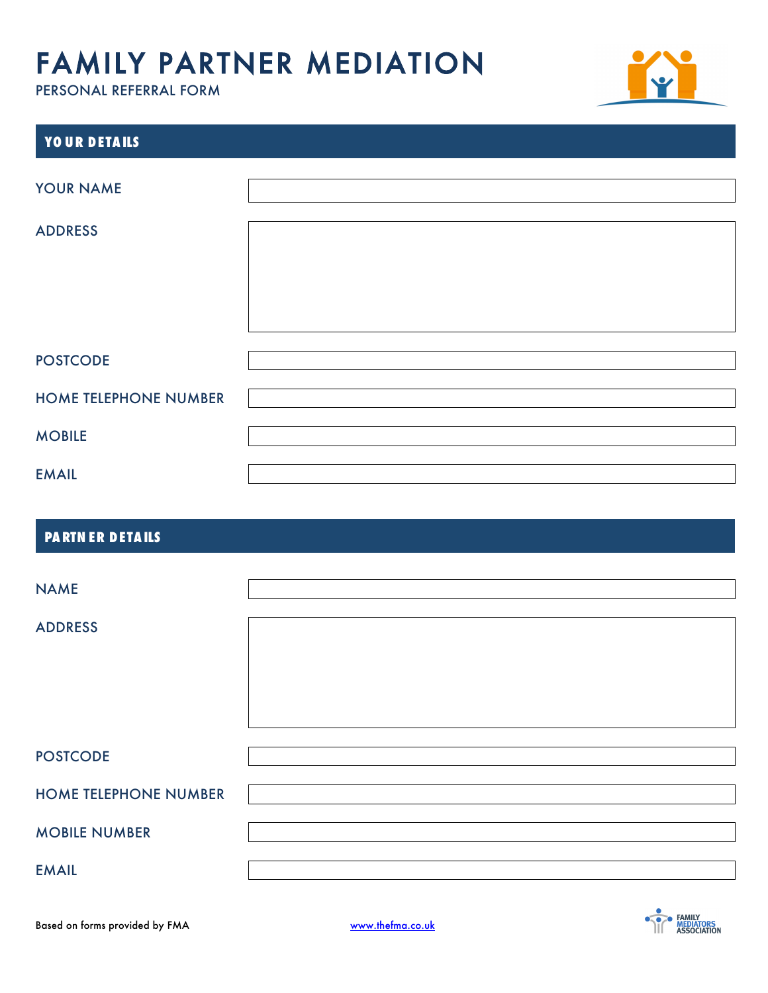

| YOUR DETAILS                 |  |
|------------------------------|--|
| YOUR NAME                    |  |
| <b>ADDRESS</b>               |  |
|                              |  |
|                              |  |
| <b>POSTCODE</b>              |  |
| <b>HOME TELEPHONE NUMBER</b> |  |
| <b>MOBILE</b>                |  |
| <b>EMAIL</b>                 |  |

### **PA RTN ER DETA ILS**

| <b>NAME</b>                  |  |
|------------------------------|--|
| <b>ADDRESS</b>               |  |
|                              |  |
|                              |  |
|                              |  |
| <b>POSTCODE</b>              |  |
| <b>HOME TELEPHONE NUMBER</b> |  |
| <b>MOBILE NUMBER</b>         |  |
| <b>EMAIL</b>                 |  |

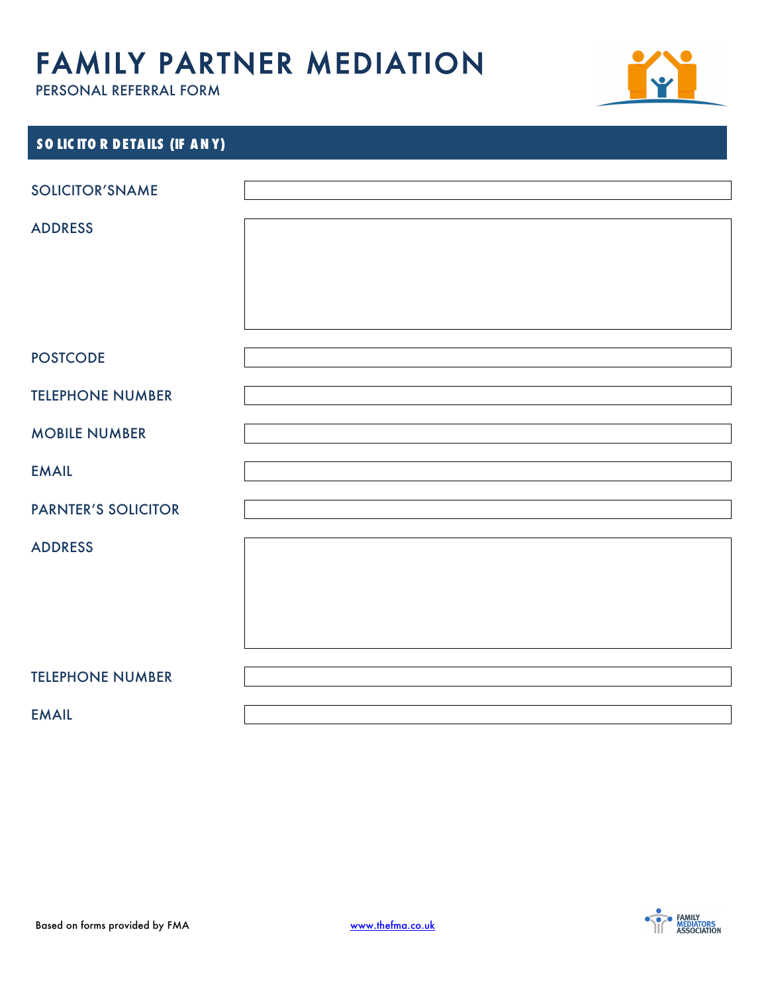

| SOLICITOR DETAILS (IF ANY) |  |
|----------------------------|--|
|                            |  |
| <b>SOLICITOR'SNAME</b>     |  |
| <b>ADDRESS</b>             |  |
|                            |  |
|                            |  |
|                            |  |
| <b>POSTCODE</b>            |  |
|                            |  |
| <b>TELEPHONE NUMBER</b>    |  |
| <b>MOBILE NUMBER</b>       |  |
| <b>EMAIL</b>               |  |
| <b>PARNTER'S SOLICITOR</b> |  |
| <b>ADDRESS</b>             |  |
|                            |  |
|                            |  |
|                            |  |
|                            |  |
| <b>TELEPHONE NUMBER</b>    |  |
| <b>EMAIL</b>               |  |

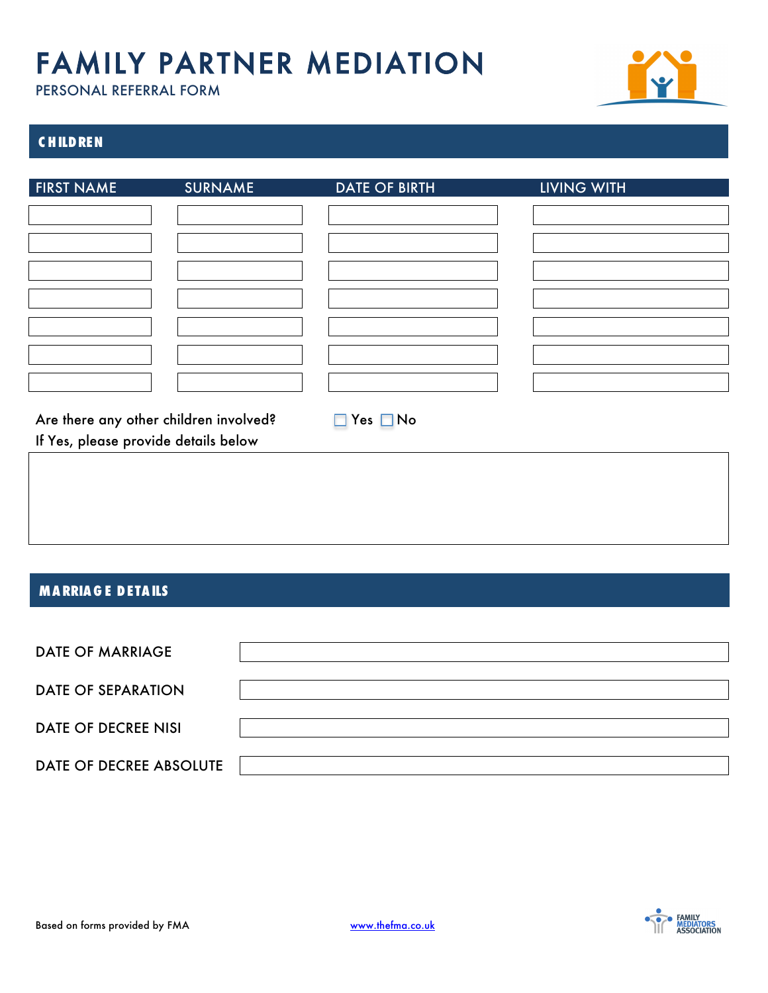

### **C HILDREN**

| <b>FIRST NAME</b>                                                              | <b>SURNAME</b> | <b>DATE OF BIRTH</b>       | <b>LIVING WITH</b> |
|--------------------------------------------------------------------------------|----------------|----------------------------|--------------------|
|                                                                                |                |                            |                    |
|                                                                                |                |                            |                    |
|                                                                                |                |                            |                    |
|                                                                                |                |                            |                    |
|                                                                                |                |                            |                    |
|                                                                                |                |                            |                    |
|                                                                                |                |                            |                    |
|                                                                                |                |                            |                    |
|                                                                                |                |                            |                    |
|                                                                                |                |                            |                    |
|                                                                                |                |                            |                    |
| Are there any other children involved?<br>If Yes, please provide details below |                | $Yes \blacksquare No$<br>п |                    |
|                                                                                |                |                            |                    |
|                                                                                |                |                            |                    |

#### **MA RRIA G E DETA ILS**

| <b>DATE OF MARRIAGE</b>    |  |
|----------------------------|--|
| <b>DATE OF SEPARATION</b>  |  |
| <b>DATE OF DECREE NISI</b> |  |
| DATE OF DECREE ABSOLUTE    |  |